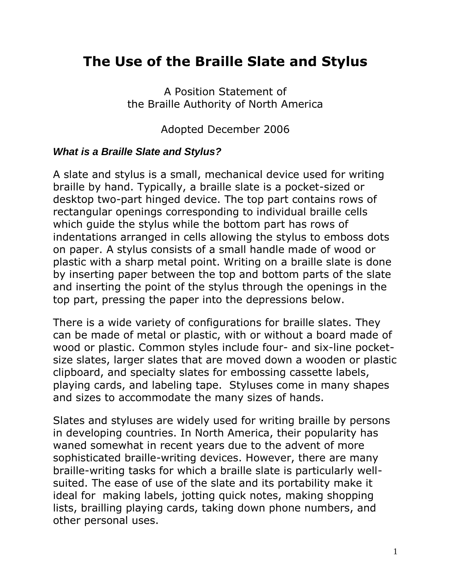# **The Use of the Braille Slate and Stylus**

A Position Statement of the Braille Authority of North America

Adopted December 2006

## *What is a Braille Slate and Stylus?*

A slate and stylus is a small, mechanical device used for writing braille by hand. Typically, a braille slate is a pocket-sized or desktop two-part hinged device. The top part contains rows of rectangular openings corresponding to individual braille cells which guide the stylus while the bottom part has rows of indentations arranged in cells allowing the stylus to emboss dots on paper. A stylus consists of a small handle made of wood or plastic with a sharp metal point. Writing on a braille slate is done by inserting paper between the top and bottom parts of the slate and inserting the point of the stylus through the openings in the top part, pressing the paper into the depressions below.

There is a wide variety of configurations for braille slates. They can be made of metal or plastic, with or without a board made of wood or plastic. Common styles include four- and six-line pocketsize slates, larger slates that are moved down a wooden or plastic clipboard, and specialty slates for embossing cassette labels, playing cards, and labeling tape. Styluses come in many shapes and sizes to accommodate the many sizes of hands.

Slates and styluses are widely used for writing braille by persons in developing countries. In North America, their popularity has waned somewhat in recent years due to the advent of more sophisticated braille-writing devices. However, there are many braille-writing tasks for which a braille slate is particularly wellsuited. The ease of use of the slate and its portability make it ideal for making labels, jotting quick notes, making shopping lists, brailling playing cards, taking down phone numbers, and other personal uses.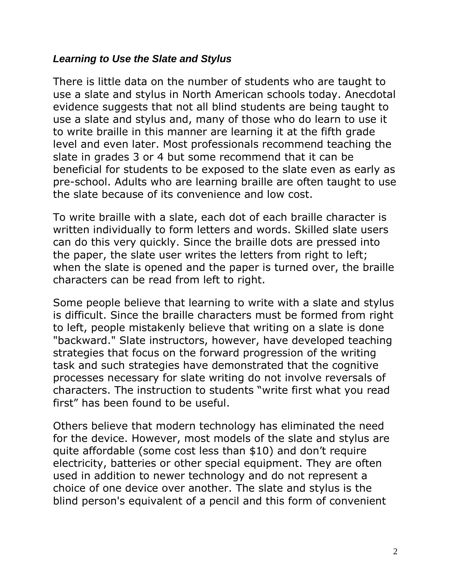#### *Learning to Use the Slate and Stylus*

There is little data on the number of students who are taught to use a slate and stylus in North American schools today. Anecdotal evidence suggests that not all blind students are being taught to use a slate and stylus and, many of those who do learn to use it to write braille in this manner are learning it at the fifth grade level and even later. Most professionals recommend teaching the slate in grades 3 or 4 but some recommend that it can be beneficial for students to be exposed to the slate even as early as pre-school. Adults who are learning braille are often taught to use the slate because of its convenience and low cost.

To write braille with a slate, each dot of each braille character is written individually to form letters and words. Skilled slate users can do this very quickly. Since the braille dots are pressed into the paper, the slate user writes the letters from right to left; when the slate is opened and the paper is turned over, the braille characters can be read from left to right.

Some people believe that learning to write with a slate and stylus is difficult. Since the braille characters must be formed from right to left, people mistakenly believe that writing on a slate is done "backward." Slate instructors, however, have developed teaching strategies that focus on the forward progression of the writing task and such strategies have demonstrated that the cognitive processes necessary for slate writing do not involve reversals of characters. The instruction to students "write first what you read first" has been found to be useful.

Others believe that modern technology has eliminated the need for the device. However, most models of the slate and stylus are quite affordable (some cost less than \$10) and don't require electricity, batteries or other special equipment. They are often used in addition to newer technology and do not represent a choice of one device over another. The slate and stylus is the blind person's equivalent of a pencil and this form of convenient